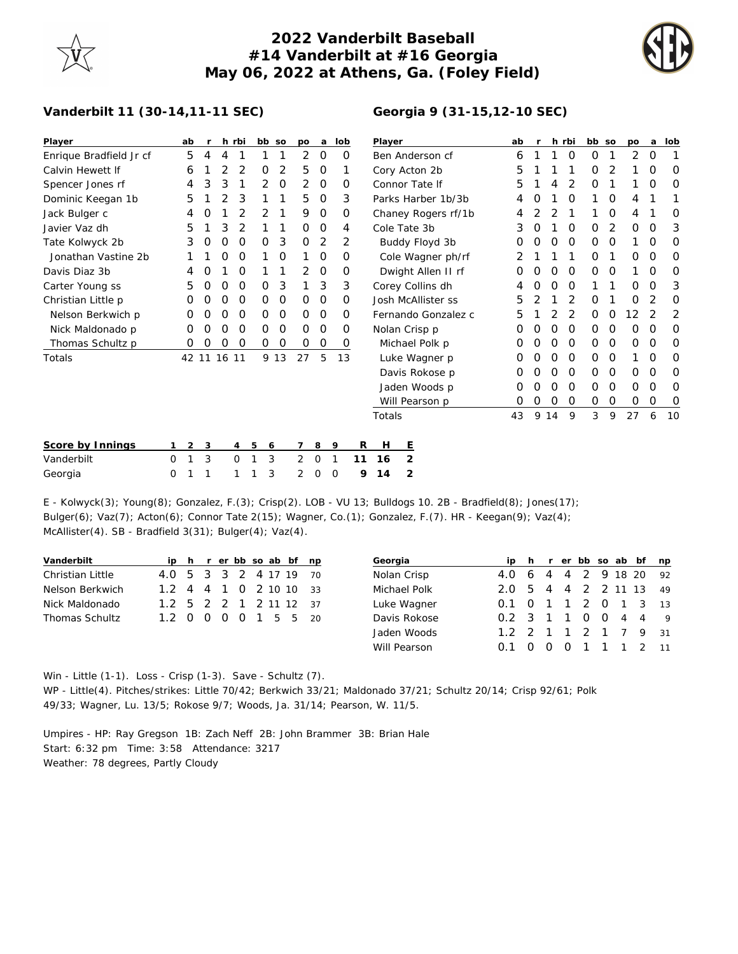## **2022 Vanderbilt Baseball #14 Vanderbilt at #16 Georgia May 06, 2022 at Athens, Ga. (Foley Field)**



## **Vanderbilt 11 (30-14,11-11 SEC)**

| Player                  | ab | r |             | h rbi | bb so |                | po | а | lob | P  |
|-------------------------|----|---|-------------|-------|-------|----------------|----|---|-----|----|
| Enrique Bradfield Jr cf | 5  | 4 | 4           | 1     | 1     | 1              | 2  | O | O   | B  |
| Calvin Hewett If        | 6  | 1 | 2           | 2     | 0     | $\overline{2}$ | 5  | O | 1   | C  |
| Spencer Jones rf        | 4  | 3 | 3           | 1     | 2     | O              | 2  | O | Ο   | C  |
| Dominic Keegan 1b       | 5  | 1 | 2           | 3     | 1     | 1              | 5  | O | 3   | P  |
| Jack Bulger c           | 4  | O | 1           | 2     | 2     | 1              | 9  | O | O   | C  |
| Javier Vaz dh           | 5  | 1 | 3           | 2     | 1     | 1              | 0  | Ο | 4   | C  |
| Tate Kolwyck 2b         | 3  | O | O           | 0     | 0     | 3              | O  | 2 | 2   |    |
| Jonathan Vastine 2b     | 1  | 1 | 0           | O     | 1     | Ω              | 1  | O | 0   |    |
| Davis Diaz 3b           | 4  | O | 1           | O     | 1     | 1              | 2  | O | 0   |    |
| Carter Young ss         | 5  | O | O           | O     | Ο     | 3              | 1  | 3 | 3   | C  |
| Christian Little p      | Ω  | O | O           | O     | Ο     | Ο              | O  | Ο | O   | J. |
| Nelson Berkwich p       | O  | O | O           | O     | 0     | 0              | 0  | Ο | O   | F  |
| Nick Maldonado p        | O  | O | O           | 0     | 0     | 0              | 0  | O | 0   | Ν  |
| Thomas Schultz p        | Ω  | Ω | 0           | O     | 0     | 0              | 0  | 0 | 0   |    |
| Totals                  |    |   | 42 11 16 11 |       | 9     | -13            | 27 | 5 | 13  |    |
|                         |    |   |             |       |       |                |    |   |     |    |
|                         |    |   |             |       |       |                |    |   |     |    |
|                         |    |   |             |       |       |                |    |   |     |    |
|                         |    |   |             |       |       |                |    |   |     |    |

| Player              | ab | r              |                | h rbi          | bb | SO | po | a | lob |
|---------------------|----|----------------|----------------|----------------|----|----|----|---|-----|
| Ben Anderson cf     | 6  | 1              | 1              | 0              | 0  | 1  | 2  | Ο | 1   |
| Cory Acton 2b       | 5  | 1              | 1              | 1              | 0  | 2  | 1  | Ω | Ω   |
| Connor Tate If      | 5  | 1              | 4              | 2              | Ο  | 1  | 1  | 0 | Ω   |
| Parks Harber 1b/3b  | 4  | 0              | 1              | 0              | 1  | O  | 4  | 1 | 1   |
| Chaney Rogers rf/1b | 4  | 2              | $\overline{2}$ | 1              | 1  | 0  | 4  | 1 | Ο   |
| Cole Tate 3b        | 3  | Ο              | 1              | 0              | 0  | 2  | O  | Ο | 3   |
| Buddy Floyd 3b      | Ο  | Ο              | O              | 0              | Ο  | Ω  | 1  | Ο | Ο   |
| Cole Wagner ph/rf   | 2  | 1              | 1              | 1              | 0  | 1  | Ο  | Ο | Ο   |
| Dwight Allen II rf  | Ο  | Ο              | O              | 0              | 0  | Ο  | 1  | O | Ο   |
| Corey Collins dh    | 4  | 0              | Ο              | 0              | 1  | 1  | Ω  | Ω | 3   |
| Josh McAllister ss  | 5  | $\overline{2}$ | 1              | 2              | Ω  | 1  | Ω  | 2 | Ω   |
| Fernando Gonzalez c | 5  | 1              | 2              | $\overline{2}$ | Ο  | Ω  | 12 | 2 | 2   |
| Nolan Crisp p       | Ω  | 0              | O              | 0              | 0  | 0  | 0  | 0 | O   |
| Michael Polk p      | Ω  | Ο              | 0              | 0              | 0  | 0  | 0  | Ο | Ο   |
| Luke Wagner p       | Ω  | Ο              | O              | 0              | 0  | O  | 1  | Ο | Ο   |
| Davis Rokose p      | Ω  | Ο              | 0              | 0              | 0  | O  | Ο  | Ο | Ο   |
| Jaden Woods p       | Ο  | 0              | 0              | 0              | 0  | Ο  | Ο  | 0 | O   |
| Will Pearson p      | Ω  | 0              | 0              | 0              | 0  | 0  | 0  | 0 | 0   |
| Totals              | 43 | 9              | 14             | 9              | 3  | 9  | 27 | 6 | 10  |

| Score by Innings |  |  |  |  |  | 123456789 RHE             |  |
|------------------|--|--|--|--|--|---------------------------|--|
| Vanderbilt       |  |  |  |  |  | 0 1 3 0 1 3 2 0 1 11 16 2 |  |
| Georgia          |  |  |  |  |  | 0 1 1 1 1 3 2 0 0 9 14 2  |  |

E - Kolwyck(3); Young(8); Gonzalez, F.(3); Crisp(2). LOB - VU 13; Bulldogs 10. 2B - Bradfield(8); Jones(17); Bulger(6); Vaz(7); Acton(6); Connor Tate 2(15); Wagner, Co.(1); Gonzalez, F.(7). HR - Keegan(9); Vaz(4); McAllister(4). SB - Bradfield 3(31); Bulger(4); Vaz(4).

| Vanderbilt       |                        |  |  |  | ip h r er bb so ab bf np |  | Georgia      |                        |  |                |  | ip h r er bb so ab bf np |  |
|------------------|------------------------|--|--|--|--------------------------|--|--------------|------------------------|--|----------------|--|--------------------------|--|
| Christian Little | 4.0 5 3 3 2 4 17 19 70 |  |  |  |                          |  | Nolan Crisp  | 4.0 6 4 4 2 9 18 20 92 |  |                |  |                          |  |
| Nelson Berkwich  | 1.2 4 4 1 0 2 10 10 33 |  |  |  |                          |  | Michael Polk | 2.0 5 4 4 2 2 11 13 49 |  |                |  |                          |  |
| Nick Maldonado   | 1.2 5 2 2 1 2 11 12 37 |  |  |  |                          |  | Luke Wagner  | 0.1 0 1 1 2 0 1 3 13   |  |                |  |                          |  |
| Thomas Schultz   | 1.2 0 0 0 0 1 5 5 20   |  |  |  |                          |  | Davis Rokose | 0.2 3 1 1 0 0 4 4 9    |  |                |  |                          |  |
|                  |                        |  |  |  |                          |  | Jaden Woods  | 1.2 2 1 1 2 1 7 9 31   |  |                |  |                          |  |
|                  |                        |  |  |  |                          |  | Will Pearson | $0.1 \quad 0 \quad 0$  |  | $\overline{O}$ |  | 1 1 1 2 11               |  |

Win - Little (1-1). Loss - Crisp (1-3). Save - Schultz (7). WP - Little(4). Pitches/strikes: Little 70/42; Berkwich 33/21; Maldonado 37/21; Schultz 20/14; Crisp 92/61; Polk 49/33; Wagner, Lu. 13/5; Rokose 9/7; Woods, Ja. 31/14; Pearson, W. 11/5.

Umpires - HP: Ray Gregson 1B: Zach Neff 2B: John Brammer 3B: Brian Hale Start: 6:32 pm Time: 3:58 Attendance: 3217 Weather: 78 degrees, Partly Cloudy

## **Georgia 9 (31-15,12-10 SEC)**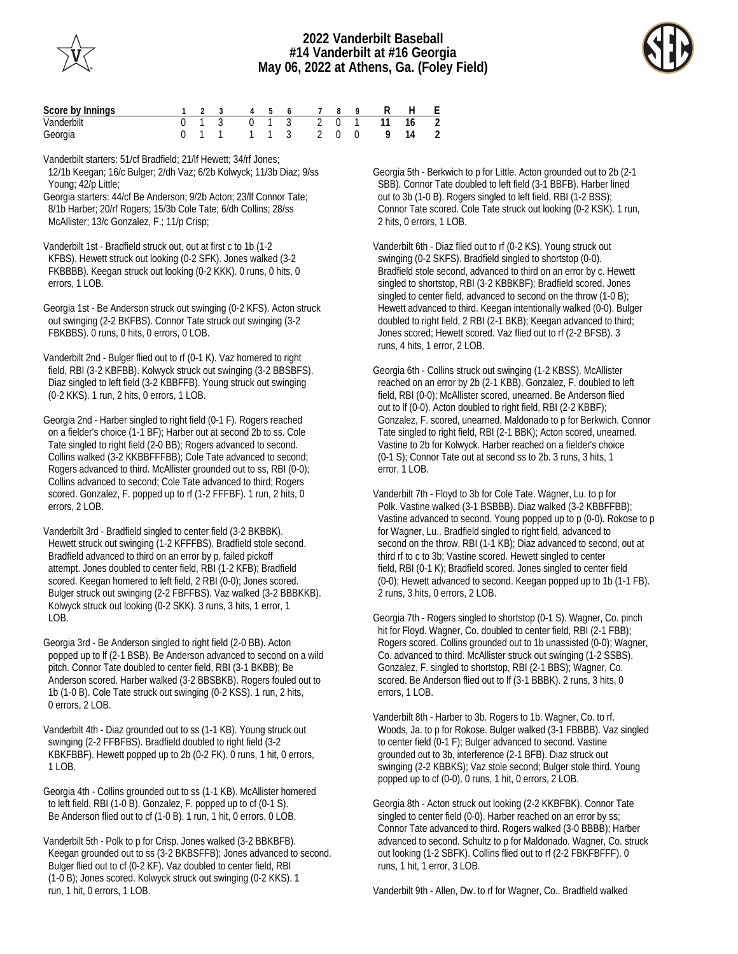



| Score by Innings<br>1 2 3 4 5 6 7 8 9 R H E |  |  |  |                           |  |  |  |
|---------------------------------------------|--|--|--|---------------------------|--|--|--|
| Vanderbilt                                  |  |  |  | 0 1 3 0 1 3 2 0 1 11 16 2 |  |  |  |
| Georgia                                     |  |  |  | 0 1 1 1 1 3 2 0 0 9 14 2  |  |  |  |

Vanderbilt starters: 51/cf Bradfield; 21/lf Hewett; 34/rf Jones;

 12/1b Keegan; 16/c Bulger; 2/dh Vaz; 6/2b Kolwyck; 11/3b Diaz; 9/ss Young; 42/p Little;

Georgia starters: 44/cf Be Anderson; 9/2b Acton; 23/lf Connor Tate; 8/1b Harber; 20/rf Rogers; 15/3b Cole Tate; 6/dh Collins; 28/ss McAllister; 13/c Gonzalez, F.; 11/p Crisp;

Vanderbilt 1st - Bradfield struck out, out at first c to 1b (1-2 KFBS). Hewett struck out looking (0-2 SFK). Jones walked (3-2 FKBBBB). Keegan struck out looking (0-2 KKK). 0 runs, 0 hits, 0 errors, 1 LOB.

Georgia 1st - Be Anderson struck out swinging (0-2 KFS). Acton struck out swinging (2-2 BKFBS). Connor Tate struck out swinging (3-2 FBKBBS). 0 runs, 0 hits, 0 errors, 0 LOB.

Vanderbilt 2nd - Bulger flied out to rf (0-1 K). Vaz homered to right field, RBI (3-2 KBFBB). Kolwyck struck out swinging (3-2 BBSBFS). Diaz singled to left field (3-2 KBBFFB). Young struck out swinging (0-2 KKS). 1 run, 2 hits, 0 errors, 1 LOB.

Georgia 2nd - Harber singled to right field (0-1 F). Rogers reached on a fielder's choice (1-1 BF); Harber out at second 2b to ss. Cole Tate singled to right field (2-0 BB); Rogers advanced to second. Collins walked (3-2 KKBBFFFBB); Cole Tate advanced to second; Rogers advanced to third. McAllister grounded out to ss, RBI (0-0); Collins advanced to second; Cole Tate advanced to third; Rogers scored. Gonzalez, F. popped up to rf (1-2 FFFBF). 1 run, 2 hits, 0 errors, 2 LOB.

Vanderbilt 3rd - Bradfield singled to center field (3-2 BKBBK). Hewett struck out swinging (1-2 KFFFBS). Bradfield stole second. Bradfield advanced to third on an error by p, failed pickoff attempt. Jones doubled to center field, RBI (1-2 KFB); Bradfield scored. Keegan homered to left field, 2 RBI (0-0); Jones scored. Bulger struck out swinging (2-2 FBFFBS). Vaz walked (3-2 BBBKKB). Kolwyck struck out looking (0-2 SKK). 3 runs, 3 hits, 1 error, 1 LOB.

Georgia 3rd - Be Anderson singled to right field (2-0 BB). Acton popped up to lf (2-1 BSB). Be Anderson advanced to second on a wild pitch. Connor Tate doubled to center field, RBI (3-1 BKBB); Be Anderson scored. Harber walked (3-2 BBSBKB). Rogers fouled out to 1b (1-0 B). Cole Tate struck out swinging (0-2 KSS). 1 run, 2 hits, 0 errors, 2 LOB.

Vanderbilt 4th - Diaz grounded out to ss (1-1 KB). Young struck out swinging (2-2 FFBFBS). Bradfield doubled to right field (3-2 KBKFBBF). Hewett popped up to 2b (0-2 FK). 0 runs, 1 hit, 0 errors, 1 LOB.

Georgia 4th - Collins grounded out to ss (1-1 KB). McAllister homered to left field, RBI (1-0 B). Gonzalez, F. popped up to cf (0-1 S). Be Anderson flied out to cf (1-0 B). 1 run, 1 hit, 0 errors, 0 LOB.

Vanderbilt 5th - Polk to p for Crisp. Jones walked (3-2 BBKBFB). Keegan grounded out to ss (3-2 BKBSFFB); Jones advanced to second. Bulger flied out to cf (0-2 KF). Vaz doubled to center field, RBI (1-0 B); Jones scored. Kolwyck struck out swinging (0-2 KKS). 1 run, 1 hit, 0 errors, 1 LOB.

Georgia 5th - Berkwich to p for Little. Acton grounded out to 2b (2-1 SBB). Connor Tate doubled to left field (3-1 BBFB). Harber lined out to 3b (1-0 B). Rogers singled to left field, RBI (1-2 BSS); Connor Tate scored. Cole Tate struck out looking (0-2 KSK). 1 run, 2 hits, 0 errors, 1 LOB.

Vanderbilt 6th - Diaz flied out to rf (0-2 KS). Young struck out swinging (0-2 SKFS). Bradfield singled to shortstop (0-0). Bradfield stole second, advanced to third on an error by c. Hewett singled to shortstop, RBI (3-2 KBBKBF); Bradfield scored. Jones singled to center field, advanced to second on the throw (1-0 B); Hewett advanced to third. Keegan intentionally walked (0-0). Bulger doubled to right field, 2 RBI (2-1 BKB); Keegan advanced to third; Jones scored; Hewett scored. Vaz flied out to rf (2-2 BFSB). 3 runs, 4 hits, 1 error, 2 LOB.

Georgia 6th - Collins struck out swinging (1-2 KBSS). McAllister reached on an error by 2b (2-1 KBB). Gonzalez, F. doubled to left field, RBI (0-0); McAllister scored, unearned. Be Anderson flied out to lf (0-0). Acton doubled to right field, RBI (2-2 KBBF); Gonzalez, F. scored, unearned. Maldonado to p for Berkwich. Connor Tate singled to right field, RBI (2-1 BBK); Acton scored, unearned. Vastine to 2b for Kolwyck. Harber reached on a fielder's choice (0-1 S); Connor Tate out at second ss to 2b. 3 runs, 3 hits, 1 error, 1 LOB.

Vanderbilt 7th - Floyd to 3b for Cole Tate. Wagner, Lu. to p for Polk. Vastine walked (3-1 BSBBB). Diaz walked (3-2 KBBFFBB); Vastine advanced to second. Young popped up to p (0-0). Rokose to p for Wagner, Lu.. Bradfield singled to right field, advanced to second on the throw, RBI (1-1 KB); Diaz advanced to second, out at third rf to c to 3b; Vastine scored. Hewett singled to center field, RBI (0-1 K); Bradfield scored. Jones singled to center field (0-0); Hewett advanced to second. Keegan popped up to 1b (1-1 FB). 2 runs, 3 hits, 0 errors, 2 LOB.

Georgia 7th - Rogers singled to shortstop (0-1 S). Wagner, Co. pinch hit for Floyd. Wagner, Co. doubled to center field, RBI (2-1 FBB); Rogers scored. Collins grounded out to 1b unassisted (0-0); Wagner, Co. advanced to third. McAllister struck out swinging (1-2 SSBS). Gonzalez, F. singled to shortstop, RBI (2-1 BBS); Wagner, Co. scored. Be Anderson flied out to lf (3-1 BBBK). 2 runs, 3 hits, 0 errors, 1 LOB.

Vanderbilt 8th - Harber to 3b. Rogers to 1b. Wagner, Co. to rf. Woods, Ja. to p for Rokose. Bulger walked (3-1 FBBBB). Vaz singled to center field (0-1 F); Bulger advanced to second. Vastine grounded out to 3b, interference (2-1 BFB). Diaz struck out swinging (2-2 KBBKS); Vaz stole second; Bulger stole third. Young popped up to cf (0-0). 0 runs, 1 hit, 0 errors, 2 LOB.

Georgia 8th - Acton struck out looking (2-2 KKBFBK). Connor Tate singled to center field (0-0). Harber reached on an error by ss; Connor Tate advanced to third. Rogers walked (3-0 BBBB); Harber advanced to second. Schultz to p for Maldonado. Wagner, Co. struck out looking (1-2 SBFK). Collins flied out to rf (2-2 FBKFBFFF). 0 runs, 1 hit, 1 error, 3 LOB.

Vanderbilt 9th - Allen, Dw. to rf for Wagner, Co.. Bradfield walked